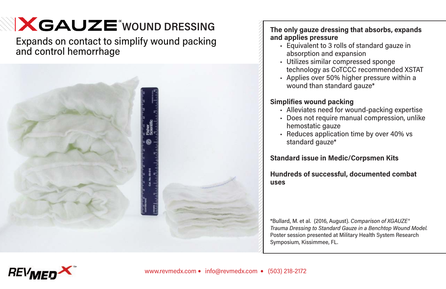# **X GAUZE** WOUND DRESSING

Expands on contact to simplify wound packing and control hemorrhage



### **The only gauze dressing that absorbs, expands and applies pressure**

- Equivalent to 3 rolls of standard gauze in absorption and expansion
- Utilizes similar compressed sponge technology as CoTCCC recommended XSTAT
- Applies over 50% higher pressure within a wound than standard gauze<sup>\*</sup>

# **Simplifies wound packing**

- Alleviates need for wound-packing expertise
- Does not require manual compression, unlike hemostatic gauze
- Reduces application time by over 40% vs standard gauze\*

# **Standard issue in Medic/Corpsmen Kits**

#### **Hundreds of successful, documented combat uses**

\*Bullard, M. et al. (2016, August). *Comparison of XGAUZE® Trauma Dressing to Standard Gauze in a Benchtop Wound Model.* Poster session presented at Military Health System Research Symposium, Kissimmee, FL.